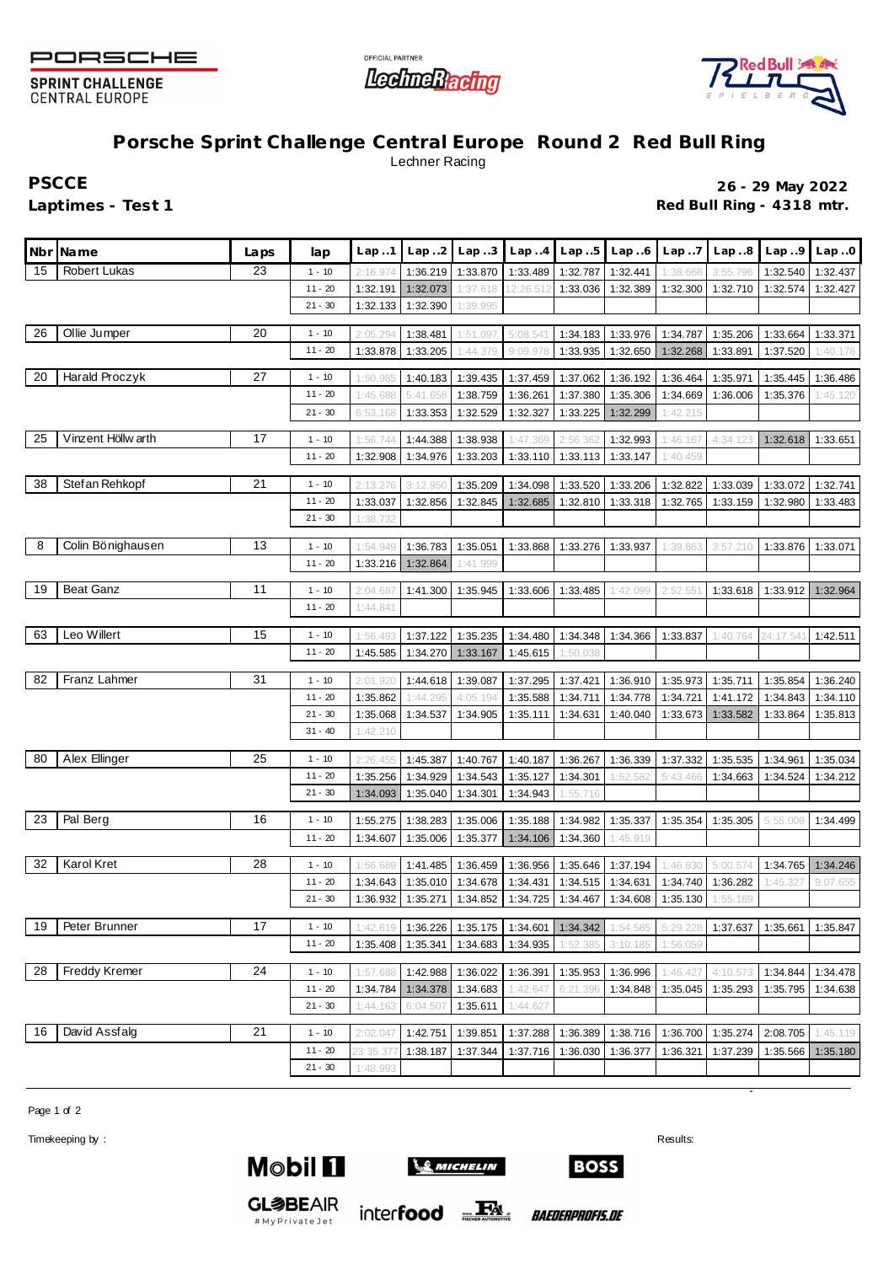

**SPRINT CHALLENGE CENTRAL EUROPE** 





## **Porsche Sprint Challenge Central Europe Round 2 Red Bull Ring** Lechner Racing

**PSCCE 26 - 29 May 2022** Laptimes - Test 1 **Contract 1 Red Bull Ring - 4318 mtr.** 

|    | Nbr Name            | Laps | lap       | Lap1                 | Lap.2                | Lap.3    | Lap4                           | Lap.5                | Lap.6                | Lap.7    | Lap.8    | Lap.9                | Lap.0                |
|----|---------------------|------|-----------|----------------------|----------------------|----------|--------------------------------|----------------------|----------------------|----------|----------|----------------------|----------------------|
| 15 | <b>Robert Lukas</b> | 23   | $1 - 10$  | 2:16.974             | 1:36.219             | 1:33.870 | 1:33.489                       | 1:32.787             | 1:32.441             | 1:38.668 | 3:55.796 | 1:32.540             | 1:32.437             |
|    |                     |      | $11 - 20$ | 1:32.191             | 1:32.073             | 1:37.618 | 12:26.512                      | 1:33.036             | 1:32.389             | 1:32.300 | 1:32.710 | 1:32.574             | 1:32.427             |
|    |                     |      | $21 - 30$ | 1:32.133             | 1:32.390             | 1:39.995 |                                |                      |                      |          |          |                      |                      |
| 26 | Ollie Jumper        | 20   | $1 - 10$  |                      |                      |          |                                |                      |                      |          |          |                      |                      |
|    |                     |      | $11 - 20$ | 2:05.294<br>1:33.878 | 1:38.481<br>1:33.205 | 1:51.097 | 5:08.541<br>9:09.978           | 1:34.183             | 1:33.976             | 1:34.787 | 1:35.206 | 1:33.664             | 1:33.371             |
|    |                     |      |           |                      |                      | 1:44.379 |                                | 1:33.935             | 1:32.650             | 1:32.268 | 1:33.891 | 1:37.520             | 1:40.176             |
| 20 | Harald Proczyk      | 27   | $1 - 10$  | 1:50.98              | 1:40.183             | 1:39.435 | 1:37.459                       | 1:37.062             | 1:36.192             | 1:36.464 | 1:35.971 | 1:35.445             | 1:36.486             |
|    |                     |      | $11 - 20$ | 1:45.688             | 5:41.658             | 1:38.759 | 1:36.261                       | 1:37.380             | 1:35.306             | 1:34.669 | 1:36.006 | 1:35.376             | 1:45.120             |
|    |                     |      | $21 - 30$ | 6:53.168             | 1:33.353             | 1:32.529 | 1:32.327                       | 1:33.225             | 1:32.299             | 1:42.215 |          |                      |                      |
| 25 | Vinzent Höllw arth  | 17   | $1 - 10$  | 1:56.744             | 1:44.388             | 1:38.938 | 1:47.369                       | 2:56.36              | 1:32.993             | 1:46.167 | 4:34.123 | 1:32.618             | 1:33.651             |
|    |                     |      | $11 - 20$ | 1:32.908             | 1:34.976             | 1:33.203 | 1:33.110                       | 1:33.113             | 1:33.147             | 1:40.459 |          |                      |                      |
|    |                     |      |           |                      |                      |          |                                |                      |                      |          |          |                      |                      |
| 38 | Stef an Rehkopf     | 21   | $1 - 10$  | 2:13.276             | 3:12.950             | 1:35.209 | 1:34.098                       | 1:33.520             | 1:33.206             | 1:32.822 | 1:33.039 | 1:33.072             | 1:32.741             |
|    |                     |      | $11 - 20$ | 1:33.037             | 1:32.856             | 1:32.845 | 1:32.685                       | 1:32.810             | 1:33.318             | 1:32.765 | 1:33.159 | 1:32.980             | 1:33.483             |
|    |                     |      | $21 - 30$ | 1:38.732             |                      |          |                                |                      |                      |          |          |                      |                      |
| 8  | Colin Bönighausen   | 13   | $1 - 10$  | 1:54.949             | 1:36.783             | 1:35.051 | 1:33.868                       | 1:33.276             | 1:33.937             | 1:39.863 | 3:57.210 | 1:33.876             | 1:33.071             |
|    |                     |      | $11 - 20$ | 1:33.216             | 1:32.864             | 1:41.999 |                                |                      |                      |          |          |                      |                      |
| 19 | <b>Beat Ganz</b>    | 11   | $1 - 10$  |                      |                      |          |                                |                      |                      |          |          |                      |                      |
|    |                     |      | $11 - 20$ | 2:04.687<br>1:44.841 | 1:41.300             | 1:35.945 | 1:33.606                       | 1:33.485             | 1:42.099             | 2:52.55  | 1:33.618 | 1:33.912             | 1:32.964             |
|    |                     |      |           |                      |                      |          |                                |                      |                      |          |          |                      |                      |
| 63 | Leo Willert         | 15   | $1 - 10$  | 1:56.493             | 1:37.122             | 1:35.235 | 1:34.480                       | 1:34.348             | 1:34.366             | 1:33.837 | 1:40.764 | 24:17.541            | 1:42.511             |
|    |                     |      | $11 - 20$ | 1:45.585             | 1:34.270             | 1:33.167 | 1:45.615                       | 1:50.038             |                      |          |          |                      |                      |
| 82 | Franz Lahmer        | 31   | $1 - 10$  | 2:01.920             | 1:44.618             | 1:39.087 | 1:37.295                       | 1:37.421             | 1:36.910             | 1:35.973 | 1:35.711 | 1:35.854             | 1:36.240             |
|    |                     |      | $11 - 20$ | 1:35.862             | 1:44.295             | 4:05.194 | 1:35.588                       | 1:34.711             | 1:34.778             | 1:34.721 | 1:41.172 | 1:34.843             | 1:34.110             |
|    |                     |      | $21 - 30$ | 1:35.068             | 1:34.537             | 1:34.905 | 1:35.111                       | 1:34.631             | 1:40.040             | 1:33.673 | 1:33.582 | 1:33.864             | 1:35.813             |
|    |                     |      | $31 - 40$ | 1:42.210             |                      |          |                                |                      |                      |          |          |                      |                      |
|    |                     |      |           |                      |                      |          |                                |                      |                      |          |          |                      |                      |
| 80 | Alex Ellinger       | 25   | $1 - 10$  | 2:26.45              | 1:45.387             | 1:40.767 | 1:40.187                       | 1:36.267             | 1:36.339             | 1:37.332 | 1:35.535 | 1:34.961             | 1:35.034             |
|    |                     |      | $11 - 20$ | 1:35.256             | 1:34.929             | 1:34.543 | 1:35.127                       | 1:34.301             | 1:52.582             | 5:43.466 | 1:34.663 | 1:34.524             | 1:34.212             |
|    |                     |      | $21 - 30$ | 1:34.093             | 1:35.040             | 1:34.301 | 1:34.943                       | 1:55.716             |                      |          |          |                      |                      |
| 23 | Pal Berg            | 16   | $1 - 10$  | 1:55.275             | 1:38.283             | 1:35.006 | 1:35.188                       | 1:34.982             | 1:35.337             | 1:35.354 | 1:35.305 | 5:55.008             | 1:34.499             |
|    |                     |      | $11 - 20$ | 1:34.607             | 1:35.006             | 1:35.377 | 1:34.106                       | 1:34.360             | 1:45.919             |          |          |                      |                      |
| 32 | Karol Kret          | 28   | $1 - 10$  |                      |                      | 1:36.459 |                                |                      |                      | 1:46.830 | 5:00.574 |                      |                      |
|    |                     |      | $11 - 20$ | 1:56.689<br>1:34.643 | 1:41.485<br>1:35.010 | 1:34.678 | 1:36.956<br>1:34.431           | 1:35.646<br>1:34.515 | 1:37.194<br>1:34.631 | 1:34.740 | 1:36.282 | 1:34.765<br>1:45.327 | 1:34.246<br>9:07.655 |
|    |                     |      | $21 - 30$ | 1:36.932             | 1:35.271             | 1:34.852 | 1:34.725                       | 1:34.467             | 1:34.608             | 1:35.130 | 1:55.169 |                      |                      |
|    |                     |      |           |                      |                      |          |                                |                      |                      |          |          |                      |                      |
| 19 | Peter Brunner       | 17   | $1 - 10$  | 1:42.619             | 1:36.226             |          | 1:35.175   1:34.601   1:34.342 |                      | 1:54.585             | 5:29.228 | 1:37.637 | 1:35.661             | 1:35.847             |
|    |                     |      | $11 - 20$ | 1:35.408             | 1:35.341             |          | 1:34.683 1:34.935              | 1:52.385             | 3:10.185             | 1:56.059 |          |                      |                      |
| 28 | Freddy Kremer       | 24   | $1 - 10$  | 1:57.688             | 1:42.988             | 1:36.022 | 1:36.391                       | 1:35.953             | 1:36.996             | 1:46.427 | 4:10.573 | 1:34.844             | 1:34.478             |
|    |                     |      | $11 - 20$ | 1:34.784             | 1:34.378             | 1:34.683 | 1:42.647                       | 6:21.396             | 1:34.848             | 1:35.045 | 1:35.293 | 1:35.795             | 1:34.638             |
|    |                     |      | $21 - 30$ | 1:44.163             | 6:04.507             | 1:35.611 | 1:44.627                       |                      |                      |          |          |                      |                      |
|    |                     |      |           |                      |                      |          |                                |                      |                      |          |          |                      |                      |
| 16 | David Assfalg       | 21   | $1 - 10$  | 2:02.047             | 1:42.751             | 1:39.851 | 1:37.288                       | 1:36.389             | 1:38.716             | 1:36.700 | 1:35.274 | 2:08.705             | 1:45.119             |
|    |                     |      | $11 - 20$ | 23:35.37             | 1:38.187             | 1:37.344 | 1:37.716                       | 1:36.030             | 1:36.377             | 1:36.321 | 1:37.239 | 1:35.566             | 1:35.180             |
|    |                     |      | $21 - 30$ | 1:48.993             |                      |          |                                |                      |                      |          |          |                      |                      |

Page 1 of 2

Timekeeping by : Results:



**GL参BEAIR** 

#MyPrivateJet



inter**food**  $\frac{1}{\text{resat} + \text{resat} + \text{resat} + \text{resat}}$ 

**BOSS** 

*BAEDERPROFIS.DE*